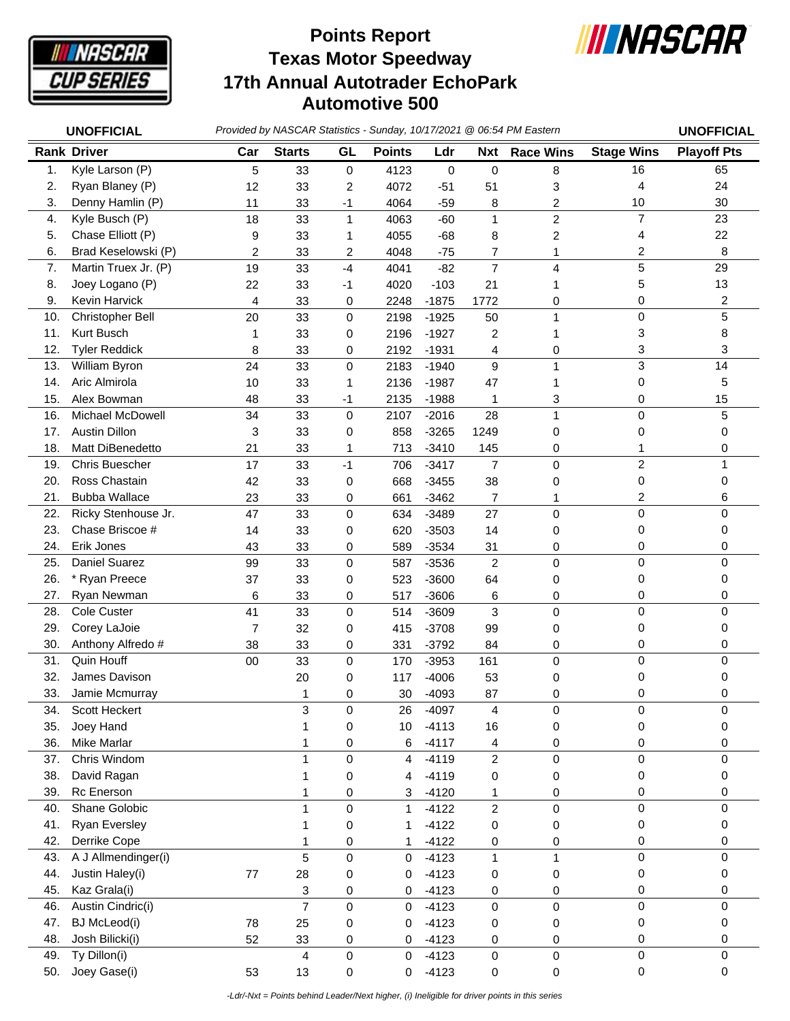

## **Texas Motor Speedway 17th Annual Autotrader EchoPark Automotive 500 Points Report**



|     | <b>UNOFFICIAL</b>     |                |                |      |               |         |                | Provided by NASCAR Statistics - Sunday, 10/17/2021 @ 06:54 PM Eastern |                   | <b>UNOFFICIAL</b>  |
|-----|-----------------------|----------------|----------------|------|---------------|---------|----------------|-----------------------------------------------------------------------|-------------------|--------------------|
|     | <b>Rank Driver</b>    | Car            | <b>Starts</b>  | GL   | <b>Points</b> | Ldr     | <b>Nxt</b>     | <b>Race Wins</b>                                                      | <b>Stage Wins</b> | <b>Playoff Pts</b> |
| 1.  | Kyle Larson (P)       | 5              | 33             | 0    | 4123          | 0       | 0              | 8                                                                     | 16                | 65                 |
| 2.  | Ryan Blaney (P)       | 12             | 33             | 2    | 4072          | $-51$   | 51             | 3                                                                     | 4                 | 24                 |
| 3.  | Denny Hamlin (P)      | 11             | 33             | $-1$ | 4064          | $-59$   | 8              | 2                                                                     | 10                | 30                 |
| 4.  | Kyle Busch (P)        | 18             | 33             | 1    | 4063          | $-60$   | 1              | 2                                                                     | $\overline{7}$    | 23                 |
| 5.  | Chase Elliott (P)     | 9              | 33             | 1    | 4055          | $-68$   | 8              | 2                                                                     | 4                 | 22                 |
| 6.  | Brad Keselowski (P)   | 2              | 33             | 2    | 4048          | $-75$   | 7              | 1                                                                     | 2                 | 8                  |
| 7.  | Martin Truex Jr. (P)  | 19             | 33             | $-4$ | 4041          | $-82$   | $\overline{7}$ | 4                                                                     | 5                 | 29                 |
| 8.  | Joey Logano (P)       | 22             | 33             | -1   | 4020          | $-103$  | 21             | 1                                                                     | 5                 | 13                 |
| 9.  | Kevin Harvick         | 4              | 33             | 0    | 2248          | $-1875$ | 1772           | 0                                                                     | 0                 | 2                  |
| 10. | Christopher Bell      | 20             | 33             | 0    | 2198          | $-1925$ | 50             | 1                                                                     | $\mathsf 0$       | 5                  |
| 11. | Kurt Busch            | 1              | 33             | 0    | 2196          | $-1927$ | 2              |                                                                       | 3                 | 8                  |
| 12. | <b>Tyler Reddick</b>  | 8              | 33             | 0    | 2192          | $-1931$ | 4              | 0                                                                     | 3                 | 3                  |
| 13. | William Byron         | 24             | 33             | 0    | 2183          | $-1940$ | 9              | $\mathbf{1}$                                                          | 3                 | 14                 |
| 14. | Aric Almirola         | 10             | 33             | 1    | 2136          | $-1987$ | 47             | 1                                                                     | 0                 | 5                  |
| 15. | Alex Bowman           | 48             | 33             | -1   | 2135          | $-1988$ | 1              | 3                                                                     | 0                 | 15                 |
| 16. | Michael McDowell      | 34             | 33             | 0    | 2107          | $-2016$ | 28             | 1                                                                     | 0                 | 5                  |
| 17. | <b>Austin Dillon</b>  | 3              | 33             | 0    | 858           | $-3265$ | 1249           | 0                                                                     | 0                 | 0                  |
| 18. | Matt DiBenedetto      | 21             | 33             | 1    | 713           | $-3410$ | 145            | 0                                                                     |                   | 0                  |
| 19. | <b>Chris Buescher</b> | 17             | 33             | $-1$ | 706           | $-3417$ | $\overline{7}$ | 0                                                                     | $\overline{c}$    | 1                  |
| 20. | Ross Chastain         | 42             | 33             | 0    | 668           | $-3455$ | 38             | 0                                                                     | 0                 | 0                  |
| 21. | <b>Bubba Wallace</b>  | 23             | 33             | 0    | 661           | $-3462$ | $\overline{7}$ | 1                                                                     | 2                 | 6                  |
| 22. | Ricky Stenhouse Jr.   | 47             | 33             | 0    | 634           | $-3489$ | 27             | $\mathbf 0$                                                           | 0                 | 0                  |
| 23. | Chase Briscoe #       | 14             | 33             | 0    | 620           | $-3503$ | 14             | 0                                                                     | 0                 | 0                  |
| 24. | Erik Jones            | 43             | 33             | 0    | 589           | $-3534$ | 31             | 0                                                                     | 0                 | 0                  |
| 25. | Daniel Suarez         | 99             | 33             | 0    | 587           | $-3536$ | $\overline{2}$ | $\mathbf 0$                                                           | 0                 | $\mathbf 0$        |
| 26. | * Ryan Preece         | 37             | 33             | 0    | 523           | $-3600$ | 64             | 0                                                                     | 0                 | 0                  |
| 27. | Ryan Newman           | 6              | 33             | 0    | 517           | $-3606$ | 6              | 0                                                                     | 0                 | 0                  |
| 28. | <b>Cole Custer</b>    | 41             | 33             | 0    | 514           | $-3609$ | 3              | 0                                                                     | 0                 | $\mathbf 0$        |
| 29. | Corey LaJoie          | $\overline{7}$ | 32             | 0    | 415           | $-3708$ | 99             | 0                                                                     | 0                 | 0                  |
| 30. | Anthony Alfredo #     | 38             | 33             | 0    | 331           | $-3792$ | 84             | 0                                                                     | 0                 | 0                  |
| 31. | Quin Houff            | 00             | 33             | 0    | 170           | $-3953$ | 161            | 0                                                                     | 0                 | 0                  |
| 32. | James Davison         |                | 20             | 0    | 117           | $-4006$ | 53             | 0                                                                     | 0                 | 0                  |
| 33. | Jamie Mcmurray        |                |                | 0    | $30\,$        | $-4093$ | 87             | 0                                                                     | 0                 | 0                  |
| 34. | Scott Heckert         |                | 3              | 0    | 26            | $-4097$ | 4              | $\pmb{0}$                                                             | 0                 | $\mathbf 0$        |
| 35. | Joey Hand             |                | 1              | 0    | 10            | $-4113$ | 16             | 0                                                                     | 0                 | 0                  |
| 36. | Mike Marlar           |                | 1              | 0    | 6             | $-4117$ | 4              | 0                                                                     | 0                 | 0                  |
| 37. | Chris Windom          |                | 1              | 0    | 4             | $-4119$ | $\overline{c}$ | $\mathsf 0$                                                           | 0                 | 0                  |
| 38. | David Ragan           |                | 1              | 0    | 4             | $-4119$ | 0              | 0                                                                     | 0                 | 0                  |
| 39. | <b>Rc</b> Enerson     |                |                | 0    | 3             | $-4120$ | 1              | 0                                                                     | 0                 | 0                  |
| 40. | Shane Golobic         |                | 1              | 0    | 1             | $-4122$ | $\overline{c}$ | $\pmb{0}$                                                             | 0                 | 0                  |
| 41. | <b>Ryan Eversley</b>  |                |                | 0    | 1             | $-4122$ | 0              | 0                                                                     | 0                 | 0                  |
| 42. | Derrike Cope          |                | 1              | 0    | 1             | $-4122$ | 0              | 0                                                                     | 0                 | 0                  |
| 43. | A J Allmendinger(i)   |                | 5              | 0    | 0             | $-4123$ | 1              | 1                                                                     | 0                 | 0                  |
| 44. | Justin Haley(i)       | $77 \,$        | 28             | 0    | 0             | $-4123$ | 0              | 0                                                                     | 0                 | 0                  |
| 45. | Kaz Grala(i)          |                | 3              | 0    | 0             | $-4123$ | 0              | 0                                                                     | 0                 | 0                  |
| 46. | Austin Cindric(i)     |                | $\overline{7}$ | 0    | 0             | $-4123$ | 0              | $\mathbf 0$                                                           | 0                 | 0                  |
| 47. | BJ McLeod(i)          | 78             | 25             | 0    | 0             | $-4123$ | 0              | 0                                                                     | 0                 | 0                  |
| 48. | Josh Bilicki(i)       | 52             | 33             | 0    | 0             | $-4123$ | 0              | 0                                                                     | 0                 | 0                  |
| 49. | Ty Dillon(i)          |                | 4              | 0    | 0             | $-4123$ | 0              | 0                                                                     | 0                 | 0                  |
| 50. | Joey Gase(i)          | 53             | 13             | 0    | 0             | $-4123$ | 0              | 0                                                                     | 0                 | 0                  |

 *-Ldr/-Nxt = Points behind Leader/Next higher, (i) Ineligible for driver points in this series*